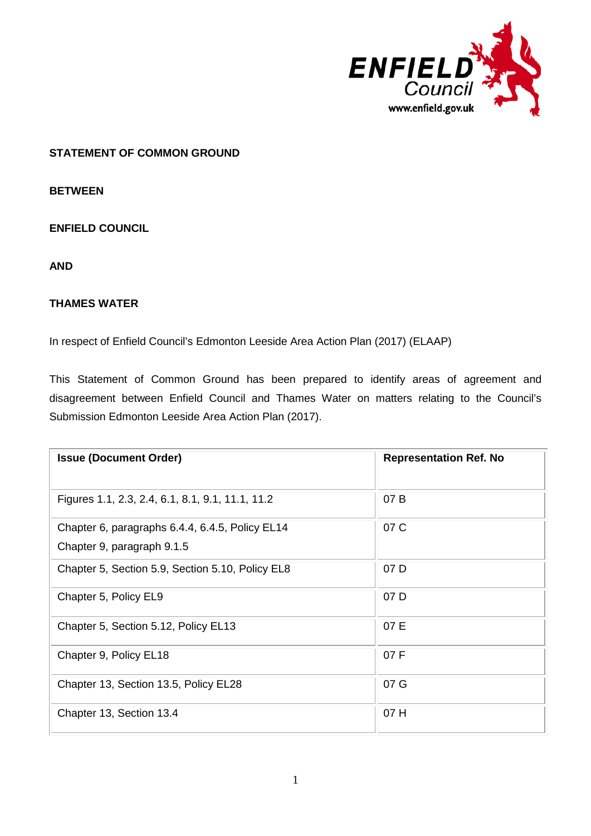

# **STATEMENT OF COMMON GROUND**

**BETWEEN**

**ENFIELD COUNCIL** 

**AND**

# **THAMES WATER**

In respect of Enfield Council's Edmonton Leeside Area Action Plan (2017) (ELAAP)

This Statement of Common Ground has been prepared to identify areas of agreement and disagreement between Enfield Council and Thames Water on matters relating to the Council's Submission Edmonton Leeside Area Action Plan (2017).

| <b>Issue (Document Order)</b>                                                 | <b>Representation Ref. No</b> |
|-------------------------------------------------------------------------------|-------------------------------|
| Figures 1.1, 2.3, 2.4, 6.1, 8.1, 9.1, 11.1, 11.2                              | 07B                           |
| Chapter 6, paragraphs 6.4.4, 6.4.5, Policy EL14<br>Chapter 9, paragraph 9.1.5 | 07 C                          |
| Chapter 5, Section 5.9, Section 5.10, Policy EL8                              | 07 D                          |
| Chapter 5, Policy EL9                                                         | 07 D                          |
| Chapter 5, Section 5.12, Policy EL13                                          | 07 E                          |
| Chapter 9, Policy EL18                                                        | 07 F                          |
| Chapter 13, Section 13.5, Policy EL28                                         | 07 G                          |
| Chapter 13, Section 13.4                                                      | 07 H                          |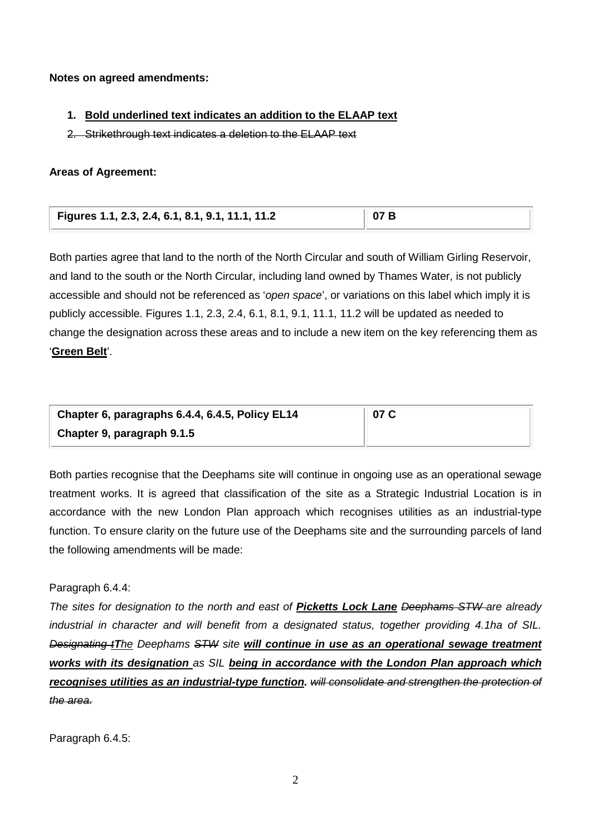### **Notes on agreed amendments:**

### **1. Bold underlined text indicates an addition to the ELAAP text**

2. Strikethrough text indicates a deletion to the ELAAP text

### **Areas of Agreement:**

| Figures 1.1, 2.3, 2.4, 6.1, 8.1, 9.1, 11.1, 11.2 | 07B |
|--------------------------------------------------|-----|
|                                                  |     |

Both parties agree that land to the north of the North Circular and south of William Girling Reservoir, and land to the south or the North Circular, including land owned by Thames Water, is not publicly accessible and should not be referenced as '*open space*', or variations on this label which imply it is publicly accessible. Figures 1.1, 2.3, 2.4, 6.1, 8.1, 9.1, 11.1, 11.2 will be updated as needed to change the designation across these areas and to include a new item on the key referencing them as '**Green Belt**'.

| Chapter 6, paragraphs 6.4.4, 6.4.5, Policy EL14 | 07 C |
|-------------------------------------------------|------|
| Chapter 9, paragraph 9.1.5                      |      |

Both parties recognise that the Deephams site will continue in ongoing use as an operational sewage treatment works. It is agreed that classification of the site as a Strategic Industrial Location is in accordance with the new London Plan approach which recognises utilities as an industrial-type function. To ensure clarity on the future use of the Deephams site and the surrounding parcels of land the following amendments will be made:

### Paragraph 6.4.4:

*The sites for designation to the north and east of Picketts Lock Lane Deephams STW are already industrial in character and will benefit from a designated status, together providing 4.1ha of SIL. Designating tThe Deephams STW site will continue in use as an operational sewage treatment works with its designation as SIL being in accordance with the London Plan approach which recognises utilities as an industrial-type function. will consolidate and strengthen the protection of the area.*

Paragraph 6.4.5: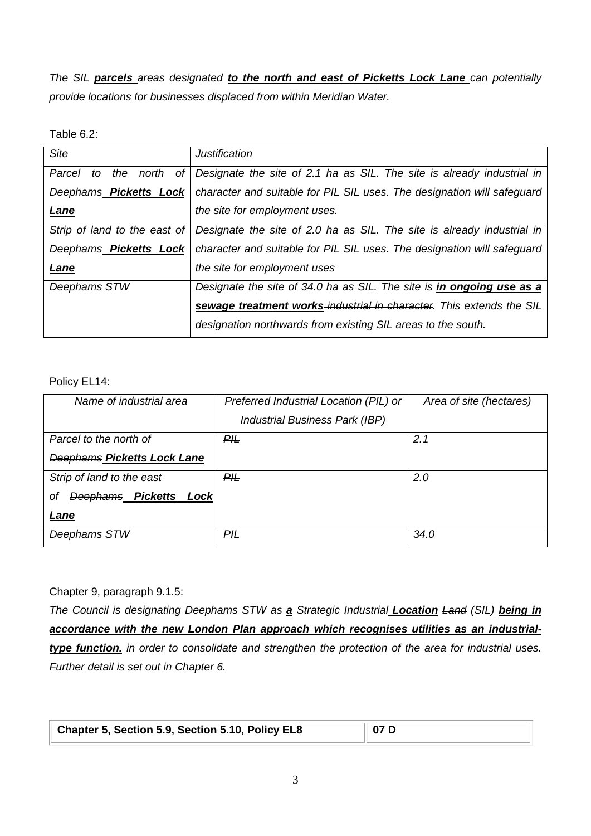*The SIL parcels areas designated to the north and east of Picketts Lock Lane can potentially provide locations for businesses displaced from within Meridian Water.*

Table 6.2:

| Site                            | <b>Justification</b>                                                    |
|---------------------------------|-------------------------------------------------------------------------|
| Parcel<br>the north<br>оf<br>to | Designate the site of 2.1 ha as SIL. The site is already industrial in  |
| Deephams Picketts Lock          | character and suitable for PIL-SIL uses. The designation will safeguard |
| <b>Lane</b>                     | the site for employment uses.                                           |
| Strip of land to the east of    | Designate the site of 2.0 ha as SIL. The site is already industrial in  |
| Deephams Picketts Lock          | character and suitable for PIL-SIL uses. The designation will safeguard |
| <b>Lane</b>                     | the site for employment uses                                            |
| Deephams STW                    | Designate the site of 34.0 ha as SIL. The site is in ongoing use as a   |
|                                 | sewage treatment works-industrial in character. This extends the SIL    |
|                                 | designation northwards from existing SIL areas to the south.            |

Policy EL14:

| Name of industrial area            | Preferred Industrial Location (PIL) or | Area of site (hectares) |
|------------------------------------|----------------------------------------|-------------------------|
|                                    | <b>Industrial Business Park (IBP)</b>  |                         |
| Parcel to the north of             | P#                                     | 2.1                     |
| <b>Deephams Picketts Lock Lane</b> |                                        |                         |
| Strip of land to the east          | ₽Æ                                     | 2.0                     |
| Deephams Picketts Lock<br>οt       |                                        |                         |
| Lane                               |                                        |                         |
| Deephams STW                       | $P$ / $\mu$                            | 34.0                    |

Chapter 9, paragraph 9.1.5:

*The Council is designating Deephams STW as a Strategic Industrial Location Land (SIL) being in accordance with the new London Plan approach which recognises utilities as an industrialtype function. in order to consolidate and strengthen the protection of the area for industrial uses. Further detail is set out in Chapter 6.*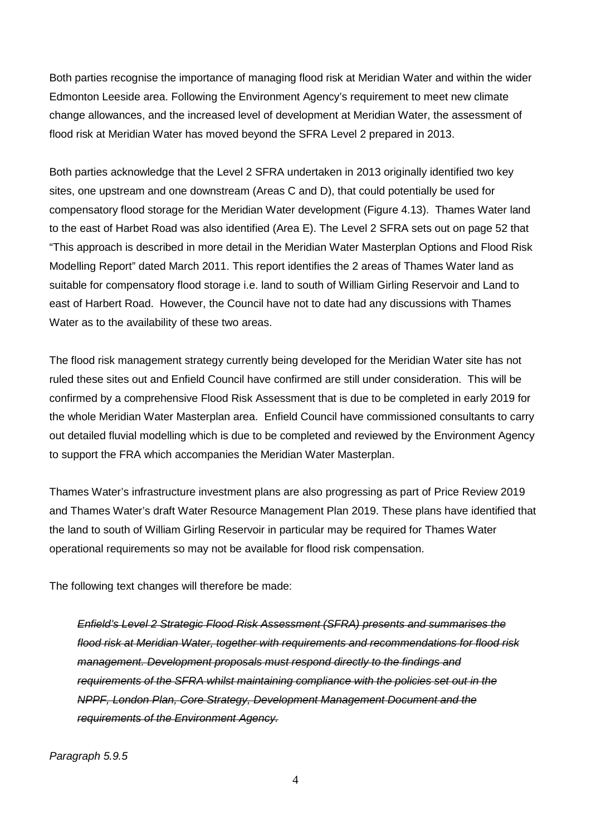Both parties recognise the importance of managing flood risk at Meridian Water and within the wider Edmonton Leeside area. Following the Environment Agency's requirement to meet new climate change allowances, and the increased level of development at Meridian Water, the assessment of flood risk at Meridian Water has moved beyond the SFRA Level 2 prepared in 2013.

Both parties acknowledge that the Level 2 SFRA undertaken in 2013 originally identified two key sites, one upstream and one downstream (Areas C and D), that could potentially be used for compensatory flood storage for the Meridian Water development (Figure 4.13). Thames Water land to the east of Harbet Road was also identified (Area E). The Level 2 SFRA sets out on page 52 that "This approach is described in more detail in the Meridian Water Masterplan Options and Flood Risk Modelling Report" dated March 2011. This report identifies the 2 areas of Thames Water land as suitable for compensatory flood storage i.e. land to south of William Girling Reservoir and Land to east of Harbert Road. However, the Council have not to date had any discussions with Thames Water as to the availability of these two areas.

The flood risk management strategy currently being developed for the Meridian Water site has not ruled these sites out and Enfield Council have confirmed are still under consideration. This will be confirmed by a comprehensive Flood Risk Assessment that is due to be completed in early 2019 for the whole Meridian Water Masterplan area. Enfield Council have commissioned consultants to carry out detailed fluvial modelling which is due to be completed and reviewed by the Environment Agency to support the FRA which accompanies the Meridian Water Masterplan.

Thames Water's infrastructure investment plans are also progressing as part of Price Review 2019 and Thames Water's draft Water Resource Management Plan 2019. These plans have identified that the land to south of William Girling Reservoir in particular may be required for Thames Water operational requirements so may not be available for flood risk compensation.

The following text changes will therefore be made:

*Enfield's Level 2 Strategic Flood Risk Assessment (SFRA) presents and summarises the flood risk at Meridian Water, together with requirements and recommendations for flood risk management. Development proposals must respond directly to the findings and requirements of the SFRA whilst maintaining compliance with the policies set out in the NPPF, London Plan, Core Strategy, Development Management Document and the requirements of the Environment Agency.*

#### *Paragraph 5.9.5*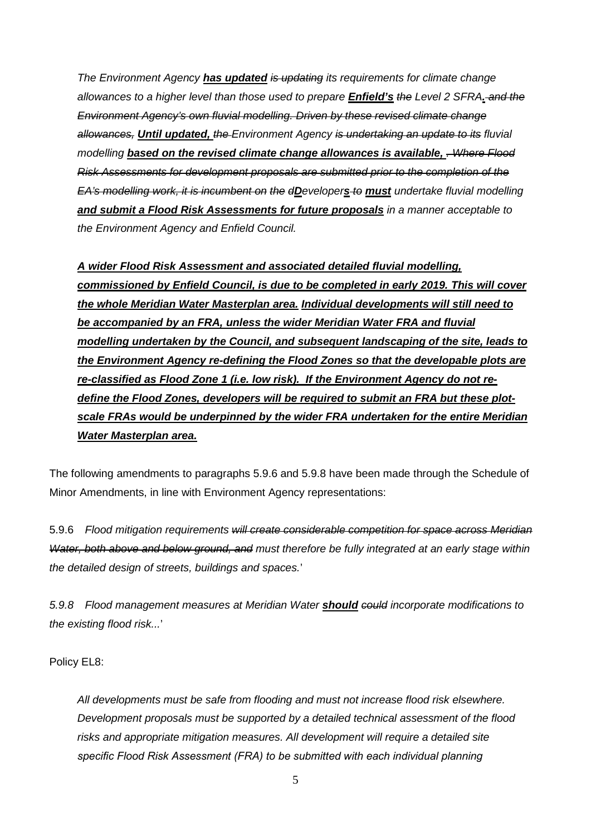*The Environment Agency has updated is updating its requirements for climate change allowances to a higher level than those used to prepare Enfield's the Level 2 SFRA. and the Environment Agency's own fluvial modelling. Driven by these revised climate change allowances, Until updated, the Environment Agency is undertaking an update to its fluvial modelling* **based on the revised climate change allowances is available,** *Where Flood Risk Assessments for development proposals are submitted prior to the completion of the EA's modelling work, it is incumbent on the dDevelopers to must undertake fluvial modelling and submit a Flood Risk Assessments for future proposals in a manner acceptable to the Environment Agency and Enfield Council.*

*A wider Flood Risk Assessment and associated detailed fluvial modelling, commissioned by Enfield Council, is due to be completed in early 2019. This will cover the whole Meridian Water Masterplan area. Individual developments will still need to be accompanied by an FRA, unless the wider Meridian Water FRA and fluvial modelling undertaken by the Council, and subsequent landscaping of the site, leads to the Environment Agency re-defining the Flood Zones so that the developable plots are re-classified as Flood Zone 1 (i.e. low risk). If the Environment Agency do not redefine the Flood Zones, developers will be required to submit an FRA but these plotscale FRAs would be underpinned by the wider FRA undertaken for the entire Meridian Water Masterplan area.*

The following amendments to paragraphs 5.9.6 and 5.9.8 have been made through the Schedule of Minor Amendments, in line with Environment Agency representations:

5.9.6 *Flood mitigation requirements will create considerable competition for space across Meridian Water, both above and below ground, and must therefore be fully integrated at an early stage within the detailed design of streets, buildings and spaces.*'

*5.9.8 Flood management measures at Meridian Water should could incorporate modifications to the existing flood risk...*'

Policy EL8:

*All developments must be safe from flooding and must not increase flood risk elsewhere. Development proposals must be supported by a detailed technical assessment of the flood risks and appropriate mitigation measures. All development will require a detailed site specific Flood Risk Assessment (FRA) to be submitted with each individual planning*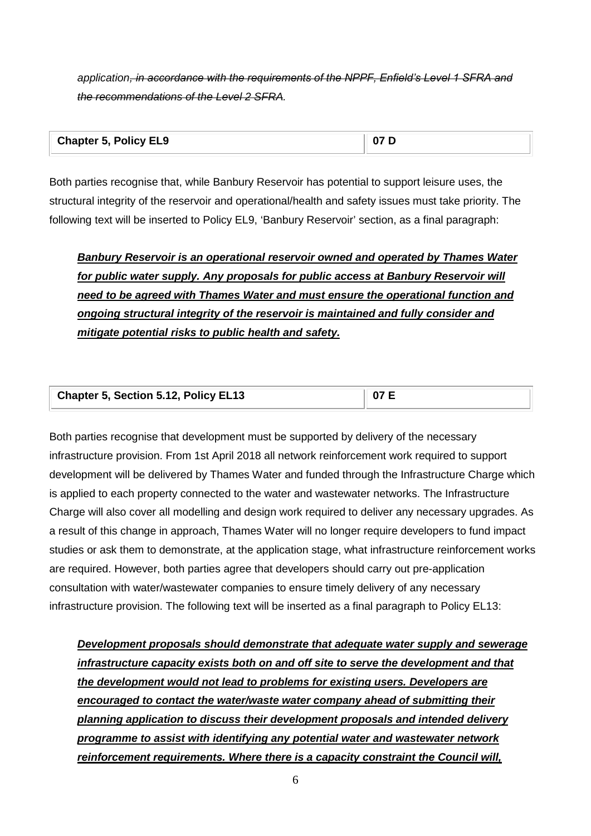*application, in accordance with the requirements of the NPPF, Enfield's Level 1 SFRA and the recommendations of the Level 2 SFRA.*

| <b>Chapter 5, Policy EL9</b> | $\sqrt{07}$ $\Gamma$ |
|------------------------------|----------------------|
|                              |                      |

Both parties recognise that, while Banbury Reservoir has potential to support leisure uses, the structural integrity of the reservoir and operational/health and safety issues must take priority. The following text will be inserted to Policy EL9, 'Banbury Reservoir' section, as a final paragraph:

*Banbury Reservoir is an operational reservoir owned and operated by Thames Water for public water supply. Any proposals for public access at Banbury Reservoir will need to be agreed with Thames Water and must ensure the operational function and ongoing structural integrity of the reservoir is maintained and fully consider and mitigate potential risks to public health and safety.*

| Chapter 5, Section 5.12, Policy EL13 | $\parallel$ 07 E |
|--------------------------------------|------------------|
|--------------------------------------|------------------|

Both parties recognise that development must be supported by delivery of the necessary infrastructure provision. From 1st April 2018 all network reinforcement work required to support development will be delivered by Thames Water and funded through the Infrastructure Charge which is applied to each property connected to the water and wastewater networks. The Infrastructure Charge will also cover all modelling and design work required to deliver any necessary upgrades. As a result of this change in approach, Thames Water will no longer require developers to fund impact studies or ask them to demonstrate, at the application stage, what infrastructure reinforcement works are required. However, both parties agree that developers should carry out pre-application consultation with water/wastewater companies to ensure timely delivery of any necessary infrastructure provision. The following text will be inserted as a final paragraph to Policy EL13:

*Development proposals should demonstrate that adequate water supply and sewerage infrastructure capacity exists both on and off site to serve the development and that the development would not lead to problems for existing users. Developers are encouraged to contact the water/waste water company ahead of submitting their planning application to discuss their development proposals and intended delivery programme to assist with identifying any potential water and wastewater network reinforcement requirements. Where there is a capacity constraint the Council will,*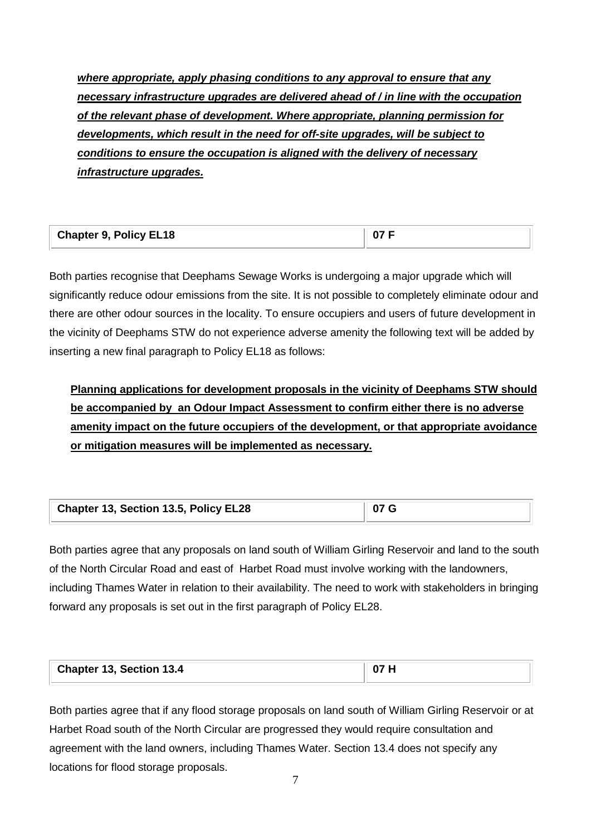*where appropriate, apply phasing conditions to any approval to ensure that any necessary infrastructure upgrades are delivered ahead of / in line with the occupation of the relevant phase of development. Where appropriate, planning permission for developments, which result in the need for off-site upgrades, will be subject to conditions to ensure the occupation is aligned with the delivery of necessary infrastructure upgrades.*

| <b>Chapter 9, Policy EL18</b> | 07F |
|-------------------------------|-----|
|                               |     |

Both parties recognise that Deephams Sewage Works is undergoing a major upgrade which will significantly reduce odour emissions from the site. It is not possible to completely eliminate odour and there are other odour sources in the locality. To ensure occupiers and users of future development in the vicinity of Deephams STW do not experience adverse amenity the following text will be added by inserting a new final paragraph to Policy EL18 as follows:

**Planning applications for development proposals in the vicinity of Deephams STW should be accompanied by an Odour Impact Assessment to confirm either there is no adverse amenity impact on the future occupiers of the development, or that appropriate avoidance or mitigation measures will be implemented as necessary.** 

| Chapter 13, Section 13.5, Policy EL28 | 07 <sub>G</sub> |  |
|---------------------------------------|-----------------|--|
|---------------------------------------|-----------------|--|

Both parties agree that any proposals on land south of William Girling Reservoir and land to the south of the North Circular Road and east of Harbet Road must involve working with the landowners, including Thames Water in relation to their availability. The need to work with stakeholders in bringing forward any proposals is set out in the first paragraph of Policy EL28.

| <b>Chapter</b><br>13, Section 13.4 | ი: |
|------------------------------------|----|
|------------------------------------|----|

Both parties agree that if any flood storage proposals on land south of William Girling Reservoir or at Harbet Road south of the North Circular are progressed they would require consultation and agreement with the land owners, including Thames Water. Section 13.4 does not specify any locations for flood storage proposals.